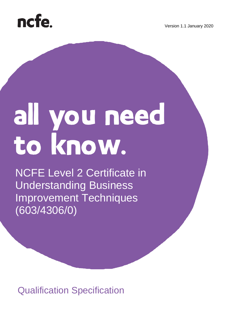



# all you need<br>to know.

NCFE Level 2 Certificate in Understanding Business Improvement Techniques (603/4306/0)

Qualification Specification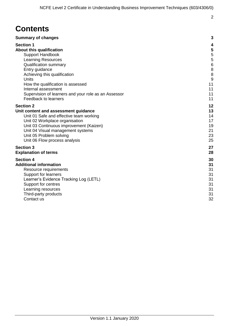### **Contents**

| <b>Summary of changes</b>                            | 3              |
|------------------------------------------------------|----------------|
| <b>Section 1</b>                                     | 4              |
| <b>About this qualification</b>                      | 5              |
| <b>Support Handbook</b>                              | 5              |
| <b>Learning Resources</b>                            | 5              |
| <b>Qualification summary</b>                         | $\overline{6}$ |
| Entry guidance                                       | 8              |
| Achieving this qualification                         | 8              |
| Units                                                | 9              |
| How the qualification is assessed                    | 11             |
| Internal assessment                                  | 11             |
| Supervision of learners and your role as an Assessor | 11             |
| Feedback to learners                                 | 11             |
| <b>Section 2</b>                                     | 12             |
| Unit content and assessment guidance                 | 13             |
| Unit 01 Safe and effective team working              | 14             |
| Unit 02 Workplace organisation                       | 17             |
| Unit 03 Continuous improvement (Kaizen)              | 19             |
| Unit 04 Visual management systems                    | 21             |
| Unit 05 Problem solving                              | 23             |
| Unit 06 Flow process analysis                        | 25             |
| <b>Section 3</b>                                     | 27             |
| <b>Explanation of terms</b>                          | 28             |
| <b>Section 4</b>                                     | 30             |
| <b>Additional information</b>                        | 31             |
| Resource requirements                                | 31             |
| Support for learners                                 | 31             |
| Learner's Evidence Tracking Log (LETL)               | 31             |
| Support for centres                                  | 31             |
| Learning resources                                   | 31             |
| Third-party products                                 | 31             |
| Contact us                                           | 32             |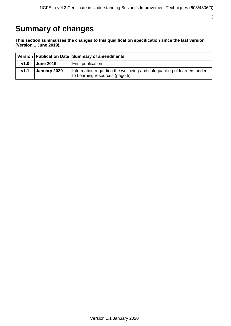### <span id="page-2-0"></span>**Summary of changes**

**This section summarises the changes to this qualification specification since the last version (Version 1 June 2019).** 

|      |                  | Version   Publication Date   Summary of amendments                                                       |
|------|------------------|----------------------------------------------------------------------------------------------------------|
| v1.0 | <b>June 2019</b> | <b>First publication</b>                                                                                 |
| V1.1 | January 2020     | Information regarding the wellbeing and safeguarding of learners added<br>to Learning resources (page 5) |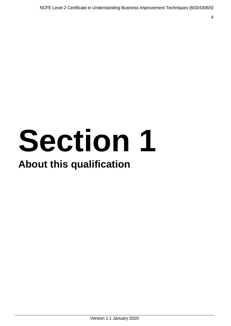# **Section 1**

### **About this qualification**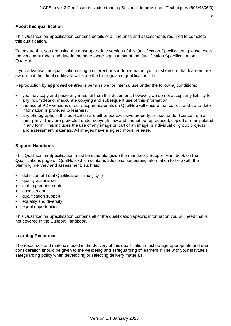#### <span id="page-4-0"></span>**About this qualification**

This Qualification Specification contains details of all the units and assessments required to complete this qualification.

To ensure that you are using the most up-to-date version of this Qualification Specification, please check the version number and date in the page footer against that of the Qualification Specification on QualHub.

If you advertise this qualification using a different or shortened name, you must ensure that learners are aware that their final certificate will state the full regulated qualification title.

Reproduction by **approved** centres is permissible for internal use under the following conditions:

- you may copy and paste any material from this document; however, we do not accept any liability for any incomplete or inaccurate copying and subsequent use of this information.
- the use of PDF versions of our support materials on QualHub will ensure that correct and up-to-date information is provided to learners.
- any photographs in this publication are either our exclusive property or used under licence from a third-party. They are protected under copyright law and cannot be reproduced, copied or manipulated in any form. This includes the use of any image or part of an image in individual or group projects and assessment materials. All images have a signed model release.

#### <span id="page-4-1"></span>**Support Handbook**

This Qualification Specification must be used alongside the mandatory Support Handbook on the Qualifications page on QualHub, which contains additional supporting information to help with the planning, delivery and assessment, such as:

- definition of Total Qualification Time (TQT)
- quality assurance
- staffing requirements
- assessment
- qualification support
- equality and diversity
- equal opportunities.

This Qualification Specification contains all of the qualification specific information you will need that is not covered in the Support Handbook.

#### <span id="page-4-2"></span>**Learning Resources**

<span id="page-4-3"></span>The resources and materials used in the delivery of this qualification must be age-appropriate and due consideration should be given to the wellbeing and safeguarding of learners in line with your institute's safeguarding policy when developing or selecting delivery materials.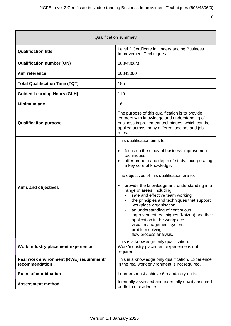<span id="page-5-0"></span>

| <b>Qualification summary</b>                               |                                                                                                                                                                                                                                                                                                                                                                                                                                                                                                                                                                                                                                         |  |
|------------------------------------------------------------|-----------------------------------------------------------------------------------------------------------------------------------------------------------------------------------------------------------------------------------------------------------------------------------------------------------------------------------------------------------------------------------------------------------------------------------------------------------------------------------------------------------------------------------------------------------------------------------------------------------------------------------------|--|
| <b>Qualification title</b>                                 | Level 2 Certificate in Understanding Business<br><b>Improvement Techniques</b>                                                                                                                                                                                                                                                                                                                                                                                                                                                                                                                                                          |  |
| <b>Qualification number (QN)</b>                           | 603/4306/0                                                                                                                                                                                                                                                                                                                                                                                                                                                                                                                                                                                                                              |  |
| Aim reference                                              | 60343060                                                                                                                                                                                                                                                                                                                                                                                                                                                                                                                                                                                                                                |  |
| <b>Total Qualification Time (TQT)</b>                      | 155                                                                                                                                                                                                                                                                                                                                                                                                                                                                                                                                                                                                                                     |  |
| <b>Guided Learning Hours (GLH)</b>                         | 110                                                                                                                                                                                                                                                                                                                                                                                                                                                                                                                                                                                                                                     |  |
| Minimum age                                                | 16                                                                                                                                                                                                                                                                                                                                                                                                                                                                                                                                                                                                                                      |  |
| <b>Qualification purpose</b>                               | The purpose of this qualification is to provide<br>learners with knowledge and understanding of<br>business improvement techniques, which can be<br>applied across many different sectors and job<br>roles.                                                                                                                                                                                                                                                                                                                                                                                                                             |  |
| <b>Aims and objectives</b>                                 | This qualification aims to:<br>focus on the study of business improvement<br>٠<br>techniques<br>offer breadth and depth of study, incorporating<br>$\bullet$<br>a key core of knowledge.<br>The objectives of this qualification are to:<br>provide the knowledge and understanding in a<br>$\bullet$<br>range of areas, including:<br>safe and effective team working<br>the principles and techniques that support<br>workplace organisation<br>an understanding of continuous<br>improvement techniques (Kaizen) and their<br>application in the workplace<br>visual management systems<br>problem solving<br>flow process analysis. |  |
| Work/industry placement experience                         | This is a knowledge only qualification.<br>Work/industry placement experience is not<br>required.                                                                                                                                                                                                                                                                                                                                                                                                                                                                                                                                       |  |
| Real work environment (RWE) requirement/<br>recommendation | This is a knowledge only qualification. Experience<br>in the real work environment is not required.                                                                                                                                                                                                                                                                                                                                                                                                                                                                                                                                     |  |
| <b>Rules of combination</b>                                | Learners must achieve 6 mandatory units.                                                                                                                                                                                                                                                                                                                                                                                                                                                                                                                                                                                                |  |
| <b>Assessment method</b>                                   | Internally assessed and externally quality assured<br>portfolio of evidence                                                                                                                                                                                                                                                                                                                                                                                                                                                                                                                                                             |  |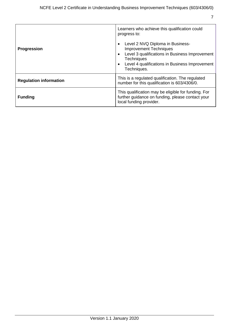| <b>Progression</b>            | Learners who achieve this qualification could<br>progress to:<br>Level 2 NVQ Diploma in Business-<br>$\bullet$<br><b>Improvement Techniques</b><br>Level 3 qualifications in Business Improvement<br>$\bullet$<br><b>Techniques</b><br>Level 4 qualifications in Business Improvement<br>$\bullet$<br>Techniques. |
|-------------------------------|-------------------------------------------------------------------------------------------------------------------------------------------------------------------------------------------------------------------------------------------------------------------------------------------------------------------|
| <b>Regulation information</b> | This is a regulated qualification. The regulated<br>number for this qualification is 603/4306/0.                                                                                                                                                                                                                  |
| <b>Funding</b>                | This qualification may be eligible for funding. For<br>further guidance on funding, please contact your<br>local funding provider.                                                                                                                                                                                |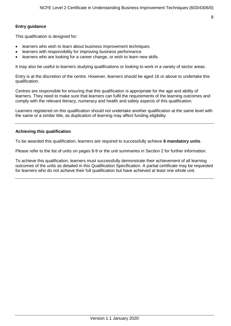#### <span id="page-7-0"></span>**Entry guidance**

This qualification is designed for:

- learners who wish to learn about business improvement techniques
- learners with responsibility for improving business performance
- learners who are looking for a career change, or wish to learn new skills.

It may also be useful to learners studying qualifications or looking to work in a variety of sector areas.

Entry is at the discretion of the centre. However, learners should be aged 16 or above to undertake this qualification.

Centres are responsible for ensuring that this qualification is appropriate for the age and ability of learners. They need to make sure that learners can fulfil the requirements of the learning outcomes and comply with the relevant literacy, numeracy and health and safety aspects of this qualification.

Learners registered on this qualification should not undertake another qualification at the same level with the same or a similar title, as duplication of learning may affect funding eligibility.

#### <span id="page-7-1"></span>**Achieving this qualification**

To be awarded this qualification, learners are required to successfully achieve **6 mandatory units**.

Please refer to the list of units on pages 8-9 or the unit summaries in Section 2 for further information.

To achieve this qualification, learners must successfully demonstrate their achievement of all learning outcomes of the units as detailed in this Qualification Specification. A partial certificate may be requested for learners who do not achieve their full qualification but have achieved at least one whole unit.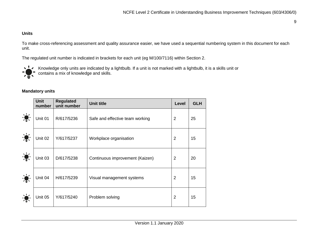#### **Units**

To make cross-referencing assessment and quality assurance easier, we have used a sequential numbering system in this document for each unit.

The regulated unit number is indicated in brackets for each unit (eg M/100/7116) within Section 2.



Knowledge only units are indicated by a lightbulb. If a unit is not marked with a lightbulb, it is a skills unit or contains a mix of knowledge and skills.

#### **Mandatory units**

<span id="page-8-0"></span>

|                                                                                                                                                                                                                                                                                                                                                                 | <b>Unit</b><br>number | <b>Regulated</b><br>unit number | <b>Unit title</b>               | Level          | <b>GLH</b> |
|-----------------------------------------------------------------------------------------------------------------------------------------------------------------------------------------------------------------------------------------------------------------------------------------------------------------------------------------------------------------|-----------------------|---------------------------------|---------------------------------|----------------|------------|
| $\frac{1}{2} \sum_{i=1}^{n} \frac{1}{2} \sum_{i=1}^{n} \frac{1}{2} \sum_{i=1}^{n} \frac{1}{2} \sum_{i=1}^{n} \frac{1}{2} \sum_{i=1}^{n} \frac{1}{2} \sum_{i=1}^{n} \frac{1}{2} \sum_{i=1}^{n} \frac{1}{2} \sum_{i=1}^{n} \frac{1}{2} \sum_{i=1}^{n} \frac{1}{2} \sum_{i=1}^{n} \frac{1}{2} \sum_{i=1}^{n} \frac{1}{2} \sum_{i=1}^{n} \frac{1}{2} \sum_{i=1}^{n$ | Unit 01               | R/617/5236                      | Safe and effective team working | $\overline{2}$ | 25         |
| $\frac{1}{2}$                                                                                                                                                                                                                                                                                                                                                   | Unit 02               | Y/617/5237                      | Workplace organisation          | $\overline{2}$ | 15         |
| $\sum_{i=1}^{n}$<br><b>DEC</b>                                                                                                                                                                                                                                                                                                                                  | Unit 03               | D/617/5238                      | Continuous improvement (Kaizen) | $\overline{2}$ | 20         |
| $\frac{1}{2}$                                                                                                                                                                                                                                                                                                                                                   | Unit 04               | H/617/5239                      | Visual management systems       | $\overline{2}$ | 15         |
|                                                                                                                                                                                                                                                                                                                                                                 | Unit 05               | Y/617/5240                      | Problem solving                 | $\overline{2}$ | 15         |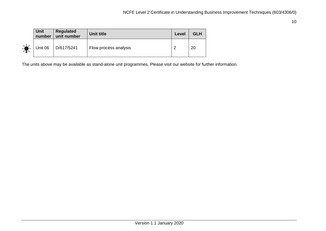|               | Unit<br>number | <b>Regulated</b><br>unit number | <b>Unit title</b>     | Level  | <b>GLH</b> |
|---------------|----------------|---------------------------------|-----------------------|--------|------------|
| $\frac{1}{2}$ |                | Unit 06   D/617/5241            | Flow process analysis | $\sim$ | 20         |

The units above may be available as stand-alone unit programmes. Please visit our website for further information.

10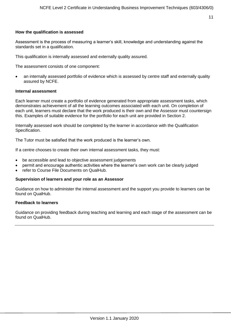#### <span id="page-10-0"></span>**How the qualification is assessed**

Assessment is the process of measuring a learner's skill, knowledge and understanding against the standards set in a qualification.

This qualification is internally assessed and externally quality assured.

The assessment consists of one component:

 an internally assessed portfolio of evidence which is assessed by centre staff and externally quality assured by NCFE.

#### <span id="page-10-1"></span>**Internal assessment**

Each learner must create a portfolio of evidence generated from appropriate assessment tasks, which demonstrates achievement of all the learning outcomes associated with each unit. On completion of each unit, learners must declare that the work produced is their own and the Assessor must countersign this. Examples of suitable evidence for the portfolio for each unit are provided in Section 2.

Internally assessed work should be completed by the learner in accordance with the Qualification Specification.

The Tutor must be satisfied that the work produced is the learner's own.

If a centre chooses to create their own internal assessment tasks, they must:

- be accessible and lead to objective assessment judgements
- permit and encourage authentic activities where the learner's own work can be clearly judged
- refer to Course File Documents on QualHub.

#### <span id="page-10-2"></span>**Supervision of learners and your role as an Assessor**

Guidance on how to administer the internal assessment and the support you provide to learners can be found on QualHub.

#### <span id="page-10-3"></span>**Feedback to learners**

Guidance on providing feedback during teaching and learning and each stage of the assessment can be found on QualHub.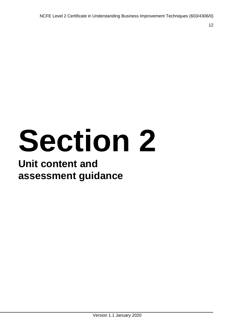# **Section 2**

# **Unit content and assessment guidance**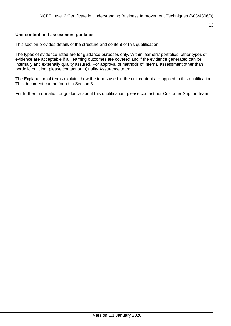#### <span id="page-12-0"></span>**Unit content and assessment guidance**

This section provides details of the structure and content of this qualification.

The types of evidence listed are for guidance purposes only. Within learners' portfolios, other types of evidence are acceptable if all learning outcomes are covered and if the evidence generated can be internally and externally quality assured. For approval of methods of internal assessment other than portfolio building, please contact our Quality Assurance team.

The Explanation of terms explains how the terms used in the unit content are applied to this qualification. This document can be found in Section 3.

For further information or guidance about this qualification, please contact our Customer Support team.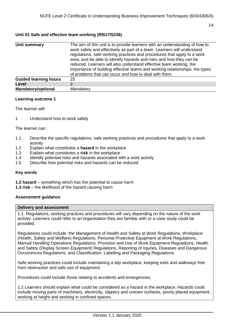#### <span id="page-13-0"></span>**Unit 01 Safe and effective team working (R/617/5236)**

| Unit summary                 | The aim of this unit is to provide learners with an understanding of how to<br>work safely and effectively as part of a team. Learners will understand<br>regulations, safe working practices and procedures that apply to a work<br>area, and be able to identify hazards and risks and how they can be<br>reduced. Learners will also understand effective team working, the<br>importance of building effective teams and working relationships, the types<br>of problems that can occur and how to deal with them. |
|------------------------------|------------------------------------------------------------------------------------------------------------------------------------------------------------------------------------------------------------------------------------------------------------------------------------------------------------------------------------------------------------------------------------------------------------------------------------------------------------------------------------------------------------------------|
| <b>Guided learning hours</b> | 25                                                                                                                                                                                                                                                                                                                                                                                                                                                                                                                     |
| <b>Level</b>                 | っ                                                                                                                                                                                                                                                                                                                                                                                                                                                                                                                      |
| <b>Mandatory/optional</b>    | Mandatory                                                                                                                                                                                                                                                                                                                                                                                                                                                                                                              |

#### **Learning outcome 1**

The learner will:

1 Understand how to work safely

The learner can:

- 1.1 Describe the specific regulations, safe working practices and procedures that apply to a work activity
- 1.2 Explain what constitutes a **hazard** in the workplace
- 1.3 Explain what constitutes a **risk** in the workplace
- 1.4 Identify potential risks and hazards associated with a work activity
- 1.5 Describe how potential risks and hazards can be reduced

#### **Key words**

- **1.2 hazard** something which has the potential to cause harm
- **1.3 risk** the likelihood of the hazard causing harm

#### **Assessment guidance**

#### **Delivery and assessment**

1.1. Regulations, working practices and procedures will vary depending on the nature of the work activity. Learners could refer to an organisation they are familiar with or a case study could be provided.

Regulations could include: the Management of Health and Safety at Work Regulations, Workplace (Health, Safety and Welfare) Regulations, Personal Protective Equipment at Work Regulations, Manual Handling Operations Regulations, Provision and Use of Work Equipment Regulations, Health and Safety (Display Screen Equipment) Regulations, Reporting of Injuries, Diseases and Dangerous Occurrences Regulations, and Classification, Labelling and Packaging Regulations.

Safe working practices could include maintaining a tidy workplace, keeping exits and walkways free from obstruction and safe use of equipment.

Procedures could include those relating to accidents and emergencies.

1.2 Learners should explain what could be considered as a hazard in the workplace. Hazards could include moving parts of machinery, electricity, slippery and uneven surfaces, poorly placed equipment, working at height and working in confined spaces.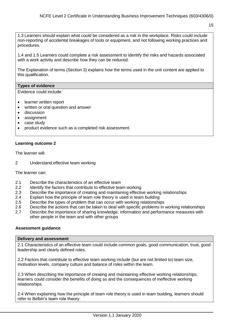1.3 Learners should explain what could be considered as a risk in the workplace. Risks could include non-reporting of accidental breakages of tools or equipment, and not following working practices and procedures.

1.4 and 1.5 Learners could complete a risk assessment to identify the risks and hazards associated with a work activity and describe how they can be reduced.

The Explanation of terms (Section 3) explains how the terms used in the unit content are applied to this qualification.

#### **Types of evidence**

Evidence could include:

- learner written report
- written or oral question and answer
- **•** discussion
- assignment
- case study
- product evidence such as a completed risk assessment.

#### **Learning outcome 2**

The learner will:

2 Understand effective team working

The learner can:

- 2.1 Describe the characteristics of an effective team
- 2.2 Identify the factors that contribute to effective team working
- 2.3 Describe the importance of creating and maintaining effective working relationships
- 2.4 Explain how the principle of team role theory is used in team building
- 2.5 Describe the types of problem that can occur with working relationships
- 2.6 Describe the actions that can be taken to deal with specific problems in working relationships
- 2.7 Describe the importance of sharing knowledge, information and performance measures with other people in the team and with other groups

#### **Assessment guidance**

#### **Delivery and assessment**

2.1 Characteristics of an effective team could include common goals, good communication, trust, good leadership and clearly defined roles.

2.2 Factors that contribute to effective team working include (but are not limited to) team size, motivation levels, company culture and balance of roles within the team.

2.3 When describing the importance of creating and maintaining effective working relationships, learners could consider the benefits of doing so and the consequences of ineffective working relationships.

2.4 When explaining how the principle of team role theory is used in team building, learners should refer to Belbin's team role theory.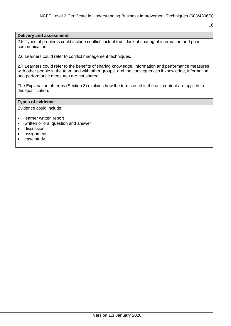#### **Delivery and assessment**

2.5 Types of problems could include conflict, lack of trust, lack of sharing of information and poor communication.

2.6 Learners could refer to conflict management techniques.

2.7 Learners could refer to the benefits of sharing knowledge, information and performance measures with other people in the team and with other groups, and the consequences if knowledge, information and performance measures are not shared.

The Explanation of terms (Section 3) explains how the terms used in the unit content are applied to this qualification.

#### **Types of evidence**

Evidence could include:

- learner written report
- written or oral question and answer
- **•** discussion
- assignment
- case study.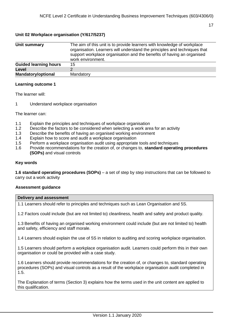#### <span id="page-16-0"></span>**Unit 02 Workplace organisation (Y/617/5237)**

| Unit summary                 | The aim of this unit is to provide learners with knowledge of workplace<br>organisation. Learners will understand the principles and techniques that<br>support workplace organisation and the benefits of having an organised<br>work environment. |
|------------------------------|-----------------------------------------------------------------------------------------------------------------------------------------------------------------------------------------------------------------------------------------------------|
| <b>Guided learning hours</b> | 15                                                                                                                                                                                                                                                  |
| Level                        |                                                                                                                                                                                                                                                     |
| <b>Mandatory/optional</b>    | Mandatory                                                                                                                                                                                                                                           |

#### **Learning outcome 1**

The learner will:

1 Understand workplace organisation

The learner can:

- 1.1 Explain the principles and techniques of workplace organisation
- 1.2 Describe the factors to be considered when selecting a work area for an activity
- 1.3 Describe the benefits of having an organised working environment
- 1.4 Explain how to score and audit a workplace organisation
- 1.5 Perform a workplace organisation audit using appropriate tools and techniques
- 1.6 Provide recommendations for the creation of, or changes to, **standard operating procedures (SOPs)** and visual controls

#### **Key words**

**1.6 standard operating procedures (SOPs)** – a set of step by step instructions that can be followed to carry out a work activity

#### **Assessment guidance**

#### **Delivery and assessment**

1.1 Learners should refer to principles and techniques such as Lean Organisation and 5S.

1.2 Factors could include (but are not limited to) cleanliness, health and safety and product quality.

1.3 Benefits of having an organised working environment could include (but are not limited to) health and safety, efficiency and staff morale.

1.4 Learners should explain the use of 5S in relation to auditing and scoring workplace organisation.

1.5 Learners should perform a workplace organisation audit. Learners could perform this in their own organisation or could be provided with a case study.

1.6 Learners should provide recommendations for the creation of, or changes to, standard operating procedures (SOPs) and visual controls as a result of the workplace organisation audit completed in 1.5.

The Explanation of terms (Section 3) explains how the terms used in the unit content are applied to this qualification.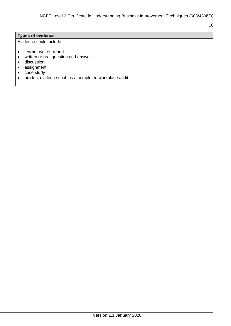#### **Types of evidence**

Evidence could include:

- learner written report
- written or oral question and answer
- **•** discussion
- assignment
- case study
- product evidence such as a completed workplace audit.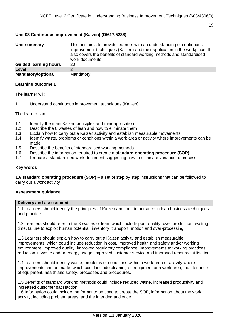#### <span id="page-18-0"></span>**Unit 03 Continuous improvement (Kaizen) (D/617/5238)**

| Unit summary                 | This unit aims to provide learners with an understanding of continuous<br>improvement techniques (Kaizen) and their application in the workplace. It<br>also covers the benefits of standard working methods and standardised<br>work documents. |
|------------------------------|--------------------------------------------------------------------------------------------------------------------------------------------------------------------------------------------------------------------------------------------------|
| <b>Guided learning hours</b> | 20                                                                                                                                                                                                                                               |
| Level                        |                                                                                                                                                                                                                                                  |
| <b>Mandatory/optional</b>    | Mandatory                                                                                                                                                                                                                                        |

#### **Learning outcome 1**

The learner will:

1 Understand continuous improvement techniques (Kaizen)

The learner can:

- 1.1 Identify the main Kaizen principles and their application
- 1.2 Describe the 8 wastes of lean and how to eliminate them
- 1.3 Explain how to carry out a Kaizen activity and establish measurable movements
- 1.4 Identify waste, problems or conditions within a work area or activity where improvements can be made
- 1.5 Describe the benefits of standardised working methods
- 1.6 Describe the information required to create a **standard operating procedure (SOP)**
- 1.7 Prepare a standardised work document suggesting how to eliminate variance to process

#### **Key words**

**1.6 standard operating procedure (SOP)** – a set of step by step instructions that can be followed to carry out a work activity

#### **Assessment guidance**

#### **Delivery and assessment**

1.1 Learners should identify the principles of Kaizen and their importance in lean business techniques and practice.

1.2 Learners should refer to the 8 wastes of lean, which include poor quality, over-production, waiting time, failure to exploit human potential, inventory, transport, motion and over-processing.

1.3 Learners should explain how to carry out a Kaizen activity and establish measurable improvements, which could include reduction in cost, improved health and safety and/or working environment, improved quality, improved regulatory compliance, improvements to working practices, reduction in waste and/or energy usage, improved customer service and improved resource utilisation.

1.4 Learners should identify waste, problems or conditions within a work area or activity where improvements can be made, which could include cleaning of equipment or a work area, maintenance of equipment, health and safety, processes and procedures.

1.5 Benefits of standard working methods could include reduced waste, increased productivity and increased customer satisfaction.

1.6 Information could include the format to be used to create the SOP, information about the work activity, including problem areas, and the intended audience.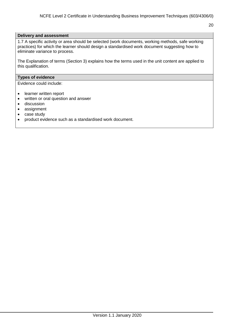#### **Delivery and assessment**

1.7 A specific activity or area should be selected (work documents, working methods, safe working practices) for which the learner should design a standardised work document suggesting how to eliminate variance to process.

The Explanation of terms (Section 3) explains how the terms used in the unit content are applied to this qualification.

#### **Types of evidence**

Evidence could include:

- learner written report
- written or oral question and answer
- **•** discussion
- assignment
- case study
- product evidence such as a standardised work document.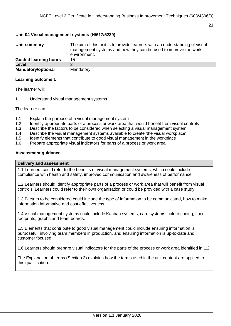#### <span id="page-20-0"></span>**Unit 04 Visual management systems (H/617/5239)**

| Unit summary                 | The aim of this unit is to provide learners with an understanding of visual<br>management systems and how they can be used to improve the work<br>environment. |
|------------------------------|----------------------------------------------------------------------------------------------------------------------------------------------------------------|
| <b>Guided learning hours</b> | 15                                                                                                                                                             |
| Level                        |                                                                                                                                                                |
| <b>Mandatory/optional</b>    | Mandatory                                                                                                                                                      |

#### **Learning outcome 1**

The learner will:

1 Understand visual management systems

The learner can:

- 1.1 Explain the purpose of a visual management system
- 1.2 Identify appropriate parts of a process or work area that would benefit from visual controls
- 1.3 Describe the factors to be considered when selecting a visual management system
- 1.4 Describe the visual management systems available to create 'the visual workplace'
- 1.5 Identify elements that contribute to good visual management in the workplace
- 1.6 Prepare appropriate visual indicators for parts of a process or work area

#### **Assessment guidance**

#### **Delivery and assessment**

1.1 Learners could refer to the benefits of visual management systems, which could include compliance with health and safety, improved communication and awareness of performance.

1.2 Learners should identify appropriate parts of a process or work area that will benefit from visual controls. Learners could refer to their own organisation or could be provided with a case study.

1.3 Factors to be considered could include the type of information to be communicated, how to make information informative and cost effectiveness.

1.4 Visual management systems could include Kanban systems, card systems, colour coding, floor footprints, graphs and team boards.

1.5 Elements that contribute to good visual management could include ensuring information is purposeful, involving team members in production, and ensuring information is up-to-date and customer focused.

1.6 Learners should prepare visual indicators for the parts of the process or work area identified in 1.2.

The Explanation of terms (Section 3) explains how the terms used in the unit content are applied to this qualification.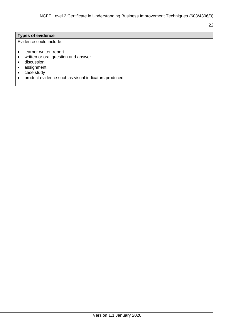#### **Types of evidence**

Evidence could include:

- learner written report
- written or oral question and answer
- **•** discussion
- assignment
- case study
- product evidence such as visual indicators produced.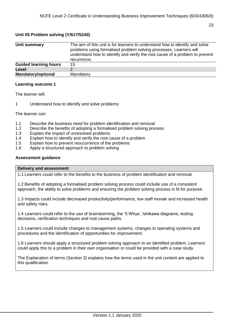#### <span id="page-22-0"></span>**Unit 05 Problem solving (Y/617/5240)**

| Unit summary                 | The aim of this unit is for learners to understand how to identify and solve<br>problems using formalised problem solving processes. Learners will<br>understand how to identify and verify the root cause of a problem to prevent<br>recurrence. |
|------------------------------|---------------------------------------------------------------------------------------------------------------------------------------------------------------------------------------------------------------------------------------------------|
| <b>Guided learning hours</b> | 15                                                                                                                                                                                                                                                |
| Level                        |                                                                                                                                                                                                                                                   |
| <b>Mandatory/optional</b>    | Mandatory                                                                                                                                                                                                                                         |

#### **Learning outcome 1**

The learner will:

1 Understand how to identify and solve problems

The learner can:

- 1.1 Describe the business need for problem identification and removal
- 1.2 Describe the benefits of adopting a formalised problem solving process
- 1.3 Explain the impact of unresolved problems
- 1.4 Explain how to identify and verify the root cause of a problem
- 1.5 Explain how to prevent reoccurrence of the problems
- 1.6 Apply a structured approach to problem solving

#### **Assessment guidance**

#### **Delivery and assessment**

1.1 Learners could refer to the benefits to the business of problem identification and removal.

1.2 Benefits of adopting a formalised problem solving process could include use of a consistent approach, the ability to solve problems and ensuring the problem solving process is fit for purpose.

1.3 Impacts could include decreased productivity/performance, low staff morale and increased health and safety risks.

1.4 Learners could refer to the use of brainstorming, the '5 Whys', Ishikawa diagrams, testing decisions, verification techniques and root cause paths.

1.5 Learners could include changes to management systems, changes to operating systems and procedures and the identification of opportunities for improvement.

1.6 Learners should apply a structured problem solving approach to an identified problem. Learners could apply this to a problem in their own organisation or could be provided with a case study.

The Explanation of terms (Section 3) explains how the terms used in the unit content are applied to this qualification.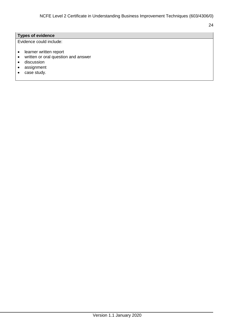#### **Types of evidence**

Evidence could include:

- learner written report
- written or oral question and answer
- **•** discussion
- assignment
- case study.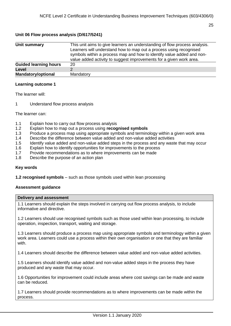#### <span id="page-24-0"></span>**Unit 06 Flow process analysis (D/617/5241)**

| Unit summary                 | This unit aims to give learners an understanding of flow process analysis.<br>Learners will understand how to map out a process using recognised<br>symbols within a process map and how to identify value added and non-<br>value added activity to suggest improvements for a given work area. |
|------------------------------|--------------------------------------------------------------------------------------------------------------------------------------------------------------------------------------------------------------------------------------------------------------------------------------------------|
| <b>Guided learning hours</b> | 20                                                                                                                                                                                                                                                                                               |
| Level                        |                                                                                                                                                                                                                                                                                                  |
| <b>Mandatory/optional</b>    | Mandatory                                                                                                                                                                                                                                                                                        |

#### **Learning outcome 1**

The learner will:

1 Understand flow process analysis

The learner can:

- 1.1 Explain how to carry out flow process analysis
- 1.2 Explain how to map out a process using **recognised symbols**
- 1.3 Produce a process map using appropriate symbols and terminology within a given work area
- 1.4 Describe the difference between value added and non-value added activities
- 1.5 Identify value added and non-value added steps in the process and any waste that may occur
- 1.6 Explain how to identify opportunities for improvements to the process
- 1.7 Provide recommendations as to where improvements can be made
- 1.8 Describe the purpose of an action plan

#### **Key words**

**1.2 recognised symbols** – such as those symbols used within lean processing

#### **Assessment guidance**

#### **Delivery and assessment**

1.1 Learners should explain the steps involved in carrying out flow process analysis, to include informative and directive.

1.2 Learners should use recognised symbols such as those used within lean processing, to include operation, inspection, transport, waiting and storage.

1.3 Learners should produce a process map using appropriate symbols and terminology within a given work area. Learners could use a process within their own organisation or one that they are familiar with.

1.4 Learners should describe the difference between value added and non-value added activities.

1.5 Learners should identify value added and non-value added steps in the process they have produced and any waste that may occur.

1.6 Opportunities for improvement could include areas where cost savings can be made and waste can be reduced.

1.7 Learners should provide recommendations as to where improvements can be made within the process.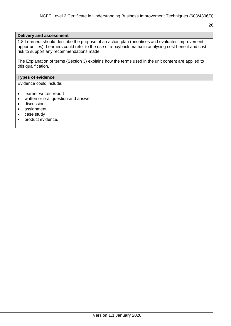#### **Delivery and assessment**

1.8 Learners should describe the purpose of an action plan (prioritises and evaluates improvement opportunities). Learners could refer to the use of a payback matrix in analysing cost benefit and cost risk to support any recommendations made.

The Explanation of terms (Section 3) explains how the terms used in the unit content are applied to this qualification.

#### **Types of evidence**

Evidence could include:

- learner written report
- written or oral question and answer
- **•** discussion
- assignment
- case study
- product evidence.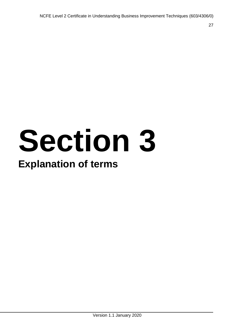# **Section 3**

# **Explanation of terms**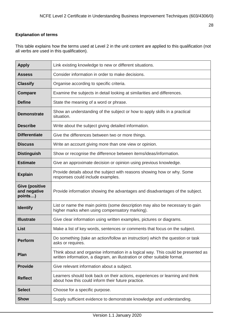#### <span id="page-27-0"></span>**Explanation of terms**

This table explains how the terms used at Level 2 in the unit content are applied to this qualification (not all verbs are used in this qualification).

| <b>Apply</b>                                     | Link existing knowledge to new or different situations.                                                                                                        |
|--------------------------------------------------|----------------------------------------------------------------------------------------------------------------------------------------------------------------|
| <b>Assess</b>                                    | Consider information in order to make decisions.                                                                                                               |
| <b>Classify</b>                                  | Organise according to specific criteria.                                                                                                                       |
| Compare                                          | Examine the subjects in detail looking at similarities and differences.                                                                                        |
| <b>Define</b>                                    | State the meaning of a word or phrase.                                                                                                                         |
| <b>Demonstrate</b>                               | Show an understanding of the subject or how to apply skills in a practical<br>situation.                                                                       |
| <b>Describe</b>                                  | Write about the subject giving detailed information.                                                                                                           |
| <b>Differentiate</b>                             | Give the differences between two or more things.                                                                                                               |
| <b>Discuss</b>                                   | Write an account giving more than one view or opinion.                                                                                                         |
| <b>Distinguish</b>                               | Show or recognise the difference between items/ideas/information.                                                                                              |
| <b>Estimate</b>                                  | Give an approximate decision or opinion using previous knowledge.                                                                                              |
| <b>Explain</b>                                   | Provide details about the subject with reasons showing how or why. Some<br>responses could include examples.                                                   |
| <b>Give (positive</b><br>and negative<br>points) | Provide information showing the advantages and disadvantages of the subject.                                                                                   |
| <b>Identify</b>                                  | List or name the main points (some description may also be necessary to gain<br>higher marks when using compensatory marking).                                 |
| <b>Illustrate</b>                                | Give clear information using written examples, pictures or diagrams.                                                                                           |
| List                                             | Make a list of key words, sentences or comments that focus on the subject.                                                                                     |
| <b>Perform</b>                                   | Do something (take an action/follow an instruction) which the question or task<br>asks or requires.                                                            |
| Plan                                             | Think about and organise information in a logical way. This could be presented as<br>written information, a diagram, an illustration or other suitable format. |
| <b>Provide</b>                                   | Give relevant information about a subject.                                                                                                                     |
| <b>Reflect</b>                                   | Learners should look back on their actions, experiences or learning and think<br>about how this could inform their future practice.                            |
| <b>Select</b>                                    | Choose for a specific purpose.                                                                                                                                 |
| <b>Show</b>                                      | Supply sufficient evidence to demonstrate knowledge and understanding.                                                                                         |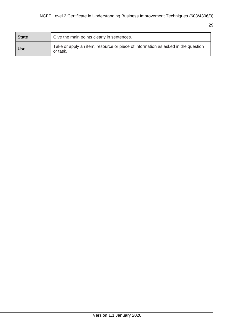| State | Give the main points clearly in sentences.                                                   |
|-------|----------------------------------------------------------------------------------------------|
| Use   | Take or apply an item, resource or piece of information as asked in the question<br>or task. |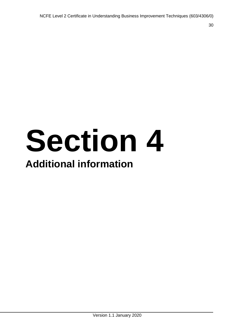# **Section 4 Additional information**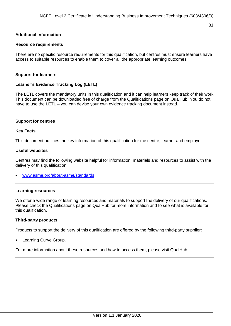#### <span id="page-30-0"></span>**Additional information**

#### <span id="page-30-1"></span>**Resource requirements**

There are no specific resource requirements for this qualification, but centres must ensure learners have access to suitable resources to enable them to cover all the appropriate learning outcomes.

#### <span id="page-30-2"></span>**Support for learners**

#### <span id="page-30-3"></span>**Learner's Evidence Tracking Log (LETL)**

The LETL covers the mandatory units in this qualification and it can help learners keep track of their work. This document can be downloaded free of charge from the Qualifications page on QualHub. You do not have to use the LETL – you can devise your own evidence tracking document instead.

#### <span id="page-30-4"></span>**Support for centres**

#### **Key Facts**

This document outlines the key information of this qualification for the centre, learner and employer.

#### **Useful websites**

Centres may find the following website helpful for information, materials and resources to assist with the delivery of this qualification:

[www.asme.org/about-asme/standards](https://www.asme.org/about-asme/standards)

#### <span id="page-30-5"></span>**Learning resources**

We offer a wide range of learning resources and materials to support the delivery of our qualifications. Please check the Qualifications page on QualHub for more information and to see what is available for this qualification.

#### <span id="page-30-6"></span>**Third-party products**

Products to support the delivery of this qualification are offered by the following third-party supplier:

Learning Curve Group.

For more information about these resources and how to access them, please visit QualHub.